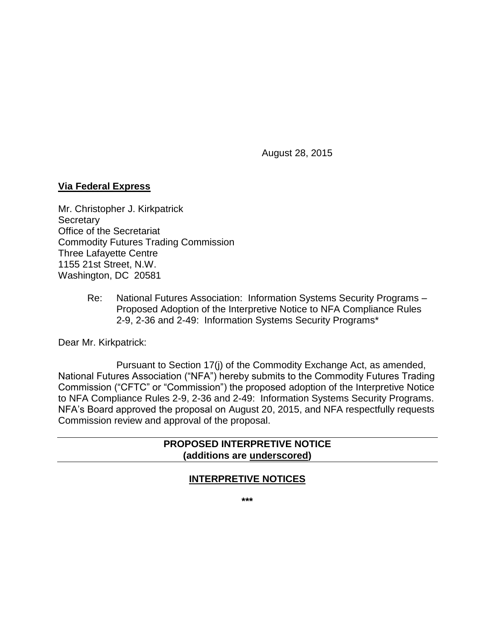August 28, 2015

#### **Via Federal Express**

Mr. Christopher J. Kirkpatrick **Secretary** Office of the Secretariat Commodity Futures Trading Commission Three Lafayette Centre 1155 21st Street, N.W. Washington, DC 20581

> Re: National Futures Association: Information Systems Security Programs – Proposed Adoption of the Interpretive Notice to NFA Compliance Rules 2-9, 2-36 and 2-49: Information Systems Security Programs\*

Dear Mr. Kirkpatrick:

Pursuant to Section 17(j) of the Commodity Exchange Act, as amended, National Futures Association ("NFA") hereby submits to the Commodity Futures Trading Commission ("CFTC" or "Commission") the proposed adoption of the Interpretive Notice to NFA Compliance Rules 2-9, 2-36 and 2-49: Information Systems Security Programs. NFA's Board approved the proposal on August 20, 2015, and NFA respectfully requests Commission review and approval of the proposal.

#### **PROPOSED INTERPRETIVE NOTICE (additions are underscored)**

#### **INTERPRETIVE NOTICES**

**\*\*\***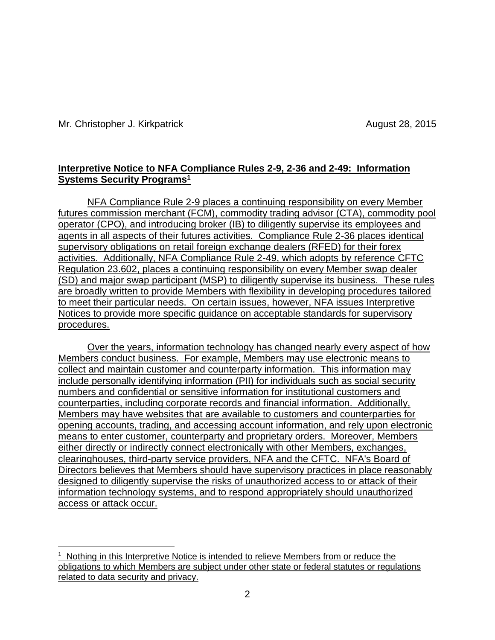$\overline{a}$ 

#### **Interpretive Notice to NFA Compliance Rules 2-9, 2-36 and 2-49: Information Systems Security Programs<sup>1</sup>**

NFA Compliance Rule 2-9 places a continuing responsibility on every Member futures commission merchant (FCM), commodity trading advisor (CTA), commodity pool operator (CPO), and introducing broker (IB) to diligently supervise its employees and agents in all aspects of their futures activities. Compliance Rule 2-36 places identical supervisory obligations on retail foreign exchange dealers (RFED) for their forex activities. Additionally, NFA Compliance Rule 2-49, which adopts by reference CFTC Regulation 23.602, places a continuing responsibility on every Member swap dealer (SD) and major swap participant (MSP) to diligently supervise its business. These rules are broadly written to provide Members with flexibility in developing procedures tailored to meet their particular needs. On certain issues, however, NFA issues Interpretive Notices to provide more specific guidance on acceptable standards for supervisory procedures.

Over the years, information technology has changed nearly every aspect of how Members conduct business. For example, Members may use electronic means to collect and maintain customer and counterparty information. This information may include personally identifying information (PII) for individuals such as social security numbers and confidential or sensitive information for institutional customers and counterparties, including corporate records and financial information. Additionally, Members may have websites that are available to customers and counterparties for opening accounts, trading, and accessing account information, and rely upon electronic means to enter customer, counterparty and proprietary orders. Moreover, Members either directly or indirectly connect electronically with other Members, exchanges, clearinghouses, third-party service providers, NFA and the CFTC. NFA's Board of Directors believes that Members should have supervisory practices in place reasonably designed to diligently supervise the risks of unauthorized access to or attack of their information technology systems, and to respond appropriately should unauthorized access or attack occur.

<sup>&</sup>lt;sup>1</sup> Nothing in this Interpretive Notice is intended to relieve Members from or reduce the obligations to which Members are subject under other state or federal statutes or regulations related to data security and privacy.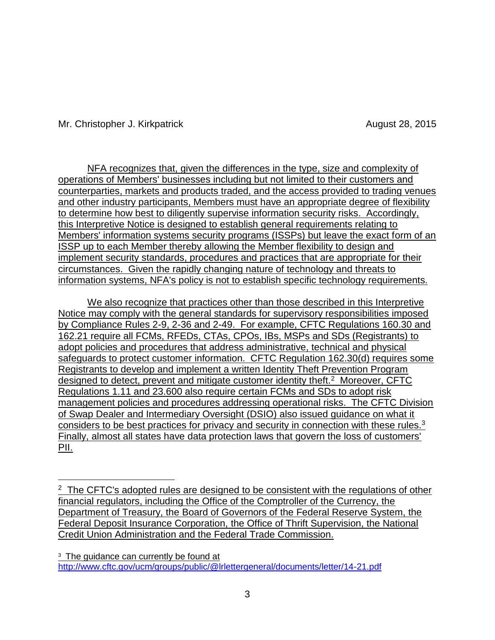$\overline{a}$ 

NFA recognizes that, given the differences in the type, size and complexity of operations of Members' businesses including but not limited to their customers and counterparties, markets and products traded, and the access provided to trading venues and other industry participants, Members must have an appropriate degree of flexibility to determine how best to diligently supervise information security risks. Accordingly, this Interpretive Notice is designed to establish general requirements relating to Members' information systems security programs (ISSPs) but leave the exact form of an ISSP up to each Member thereby allowing the Member flexibility to design and implement security standards, procedures and practices that are appropriate for their circumstances. Given the rapidly changing nature of technology and threats to information systems, NFA's policy is not to establish specific technology requirements.

We also recognize that practices other than those described in this Interpretive Notice may comply with the general standards for supervisory responsibilities imposed by Compliance Rules 2-9, 2-36 and 2-49. For example, CFTC Regulations 160.30 and 162.21 require all FCMs, RFEDs, CTAs, CPOs, IBs, MSPs and SDs (Registrants) to adopt policies and procedures that address administrative, technical and physical safeguards to protect customer information. CFTC Regulation 162.30(d) requires some Registrants to develop and implement a written Identity Theft Prevention Program designed to detect, prevent and mitigate customer identity theft.<sup>2</sup> Moreover, CFTC Regulations 1.11 and 23.600 also require certain FCMs and SDs to adopt risk management policies and procedures addressing operational risks. The CFTC Division of Swap Dealer and Intermediary Oversight (DSIO) also issued guidance on what it considers to be best practices for privacy and security in connection with these rules.<sup>3</sup> Finally, almost all states have data protection laws that govern the loss of customers' PII.

<sup>&</sup>lt;sup>2</sup> The CFTC's adopted rules are designed to be consistent with the regulations of other financial regulators, including the Office of the Comptroller of the Currency, the Department of Treasury, the Board of Governors of the Federal Reserve System, the Federal Deposit Insurance Corporation, the Office of Thrift Supervision, the National Credit Union Administration and the Federal Trade Commission.

<span id="page-2-0"></span><sup>&</sup>lt;sup>3</sup> The guidance can currently be found at [http://www.cftc.gov/ucm/groups/public/@lrlettergeneral/documents/letter/14-21.pdf](#page-2-0)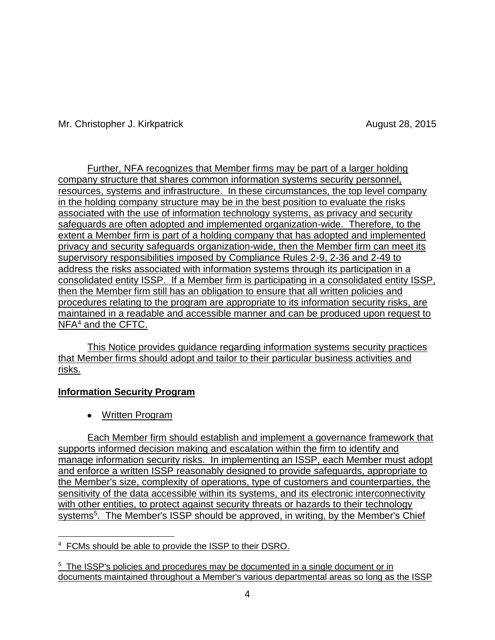Further, NFA recognizes that Member firms may be part of a larger holding company structure that shares common information systems security personnel, resources, systems and infrastructure. In these circumstances, the top level company in the holding company structure may be in the best position to evaluate the risks associated with the use of information technology systems, as privacy and security safeguards are often adopted and implemented organization-wide. Therefore, to the extent a Member firm is part of a holding company that has adopted and implemented privacy and security safeguards organization-wide, then the Member firm can meet its supervisory responsibilities imposed by Compliance Rules 2-9, 2-36 and 2-49 to address the risks associated with information systems through its participation in a consolidated entity ISSP. If a Member firm is participating in a consolidated entity ISSP, then the Member firm still has an obligation to ensure that all written policies and procedures relating to the program are appropriate to its information security risks, are maintained in a readable and accessible manner and can be produced upon request to NFA<sup>4</sup> and the CFTC.

This Notice provides guidance regarding information systems security practices that Member firms should adopt and tailor to their particular business activities and risks.

# **Information Security Program**

Written Program

Each Member firm should establish and implement a governance framework that supports informed decision making and escalation within the firm to identify and manage information security risks. In implementing an ISSP, each Member must adopt and enforce a written ISSP reasonably designed to provide safeguards, appropriate to the Member's size, complexity of operations, type of customers and counterparties, the sensitivity of the data accessible within its systems, and its electronic interconnectivity with other entities, to protect against security threats or hazards to their technology systems<sup>5</sup>. The Member's ISSP should be approved, in writing, by the Member's Chief

 $\overline{a}$ <sup>4</sup> FCMs should be able to provide the ISSP to their DSRO.

<sup>&</sup>lt;sup>5</sup> The ISSP's policies and procedures may be documented in a single document or in documents maintained throughout a Member's various departmental areas so long as the ISSP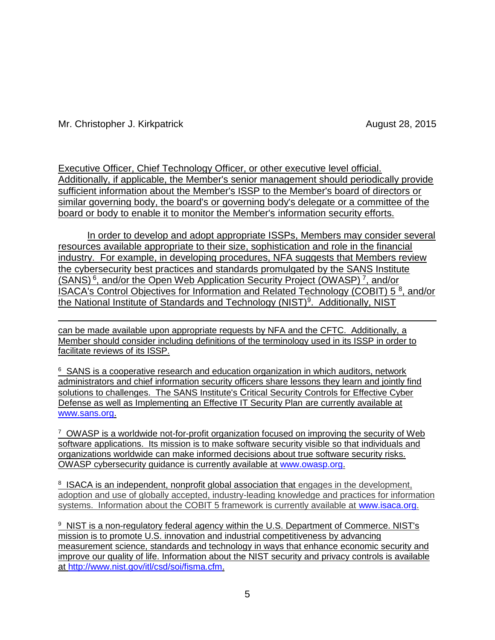Executive Officer, Chief Technology Officer, or other executive level official. Additionally, if applicable, the Member's senior management should periodically provide sufficient information about the Member's ISSP to the Member's board of directors or similar governing body, the board's or governing body's delegate or a committee of the board or body to enable it to monitor the Member's information security efforts.

In order to develop and adopt appropriate ISSPs, Members may consider several resources available appropriate to their size, sophistication and role in the financial industry. For example, in developing procedures, NFA suggests that Members review the cybersecurity best practices and standards promulgated by the SANS Institute (SANS)<sup>6</sup>, and/or the Open Web Application Security Project (OWASP)<sup>7</sup>, and/or ISACA's Control Objectives for Information and Related Technology (COBIT) 5<sup>8</sup>, and/or the National Institute of Standards and Technology (NIST)<sup>9</sup>. Additionally, NIST

 $\overline{a}$ can be made available upon appropriate requests by NFA and the CFTC. Additionally, a Member should consider including definitions of the terminology used in its ISSP in order to facilitate reviews of its ISSP.

<sup>6</sup> SANS is a cooperative research and education organization in which auditors, network administrators and chief information security officers share lessons they learn and jointly find solutions to challenges. The SANS Institute's Critical Security Controls for Effective Cyber Defense as well as Implementing an Effective IT Security Plan are currently available at [www.sans.org.](http://www.sans.org/)

<sup>7</sup> OWASP is a worldwide not-for-profit organization focused on improving the security of Web software applications. Its mission is to make software security visible so that individuals and organizations worldwide can make informed decisions about true software security risks. OWASP cybersecurity guidance is currently available at [www.owasp.org.](http://www.owasp.org/)

<sup>8</sup> ISACA is an independent, nonprofit global association that engages in the development, adoption and use of globally accepted, industry-leading knowledge and practices for information systems. Information about the COBIT 5 framework is currently available at [www.isaca.org.](http://www.isaca.org/)

<sup>9</sup> NIST is a non-regulatory federal agency within the U.S. Department of Commerce. NIST's mission is to promote U.S. innovation and industrial competitiveness by advancing measurement science, standards and technology in ways that enhance economic security and improve our quality of life. Information about the NIST security and privacy controls is available at [http://www.nist.gov/itl/csd/soi/fisma.cfm.](http://www.nist.gov/itl/csd/soi/fisma.cfm)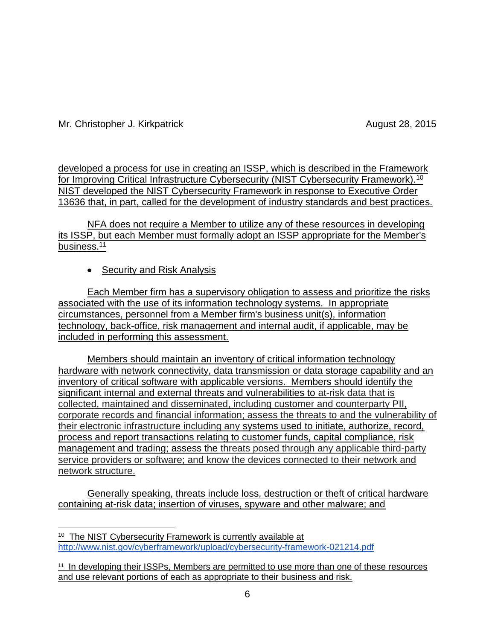$\overline{a}$ 

developed a process for use in creating an ISSP, which is described in the Framework for Improving Critical Infrastructure Cybersecurity (NIST Cybersecurity Framework).<sup>10</sup> NIST developed the NIST Cybersecurity Framework in response to Executive Order 13636 that, in part, called for the development of industry standards and best practices.

NFA does not require a Member to utilize any of these resources in developing its ISSP, but each Member must formally adopt an ISSP appropriate for the Member's business.<sup>11</sup>

# • Security and Risk Analysis

Each Member firm has a supervisory obligation to assess and prioritize the risks associated with the use of its information technology systems. In appropriate circumstances, personnel from a Member firm's business unit(s), information technology, back-office, risk management and internal audit, if applicable, may be included in performing this assessment.

Members should maintain an inventory of critical information technology hardware with network connectivity, data transmission or data storage capability and an inventory of critical software with applicable versions. Members should identify the significant internal and external threats and vulnerabilities to at-risk data that is collected, maintained and disseminated, including customer and counterparty PII, corporate records and financial information; assess the threats to and the vulnerability of their electronic infrastructure including any systems used to initiate, authorize, record, process and report transactions relating to customer funds, capital compliance, risk management and trading; assess the threats posed through any applicable third-party service providers or software; and know the devices connected to their network and network structure.

Generally speaking, threats include loss, destruction or theft of critical hardware containing at-risk data; insertion of viruses, spyware and other malware; and

<sup>&</sup>lt;sup>10</sup> The NIST Cybersecurity Framework is currently available at <http://www.nist.gov/cyberframework/upload/cybersecurity-framework-021214.pdf>

<sup>&</sup>lt;sup>11</sup> In developing their ISSPs, Members are permitted to use more than one of these resources and use relevant portions of each as appropriate to their business and risk.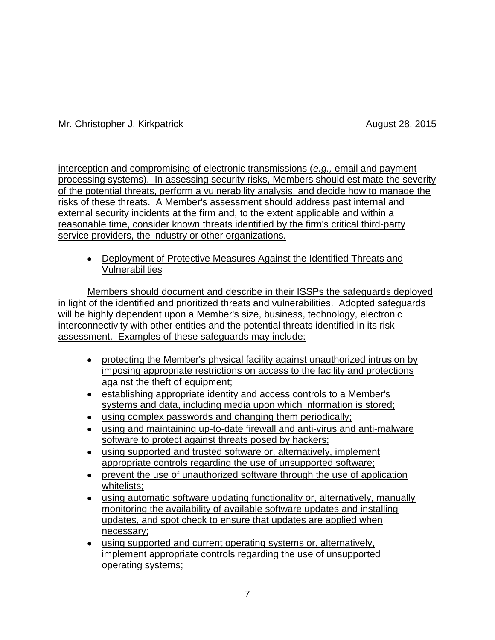interception and compromising of electronic transmissions (*e.g.,* email and payment processing systems). In assessing security risks, Members should estimate the severity of the potential threats, perform a vulnerability analysis, and decide how to manage the risks of these threats. A Member's assessment should address past internal and external security incidents at the firm and, to the extent applicable and within a reasonable time, consider known threats identified by the firm's critical third-party service providers, the industry or other organizations.

Deployment of Protective Measures Against the Identified Threats and Vulnerabilities

Members should document and describe in their ISSPs the safeguards deployed in light of the identified and prioritized threats and vulnerabilities. Adopted safeguards will be highly dependent upon a Member's size, business, technology, electronic interconnectivity with other entities and the potential threats identified in its risk assessment. Examples of these safeguards may include:

- protecting the Member's physical facility against unauthorized intrusion by imposing appropriate restrictions on access to the facility and protections against the theft of equipment;
- establishing appropriate identity and access controls to a Member's systems and data, including media upon which information is stored;
- using complex passwords and changing them periodically;
- using and maintaining up-to-date firewall and anti-virus and anti-malware software to protect against threats posed by hackers;
- using supported and trusted software or, alternatively, implement appropriate controls regarding the use of unsupported software;
- prevent the use of unauthorized software through the use of application whitelists;
- using automatic software updating functionality or, alternatively, manually monitoring the availability of available software updates and installing updates, and spot check to ensure that updates are applied when necessary;
- using supported and current operating systems or, alternatively, implement appropriate controls regarding the use of unsupported operating systems;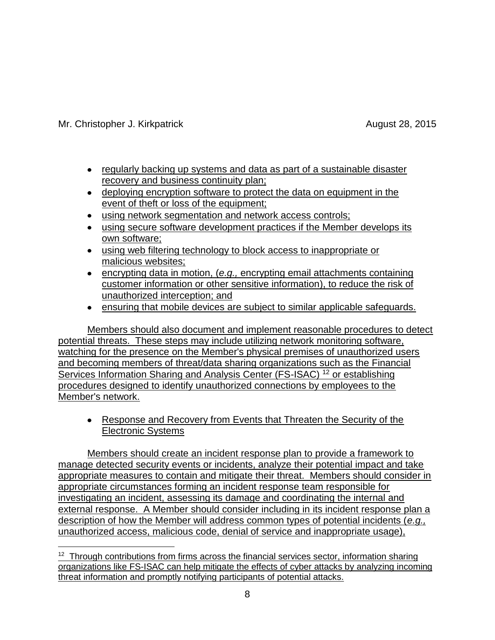- regularly backing up systems and data as part of a sustainable disaster recovery and business continuity plan;
- deploying encryption software to protect the data on equipment in the event of theft or loss of the equipment;
- using network segmentation and network access controls;
- using secure software development practices if the Member develops its own software;
- using web filtering technology to block access to inappropriate or malicious websites;
- encrypting data in motion, (*e.g.,* encrypting email attachments containing customer information or other sensitive information), to reduce the risk of unauthorized interception; and
- ensuring that mobile devices are subject to similar applicable safeguards.

Members should also document and implement reasonable procedures to detect potential threats. These steps may include utilizing network monitoring software, watching for the presence on the Member's physical premises of unauthorized users and becoming members of threat/data sharing organizations such as the Financial Services Information Sharing and Analysis Center (FS-ISAC) <sup>12</sup> or establishing procedures designed to identify unauthorized connections by employees to the Member's network.

• Response and Recovery from Events that Threaten the Security of the Electronic Systems

Members should create an incident response plan to provide a framework to manage detected security events or incidents, analyze their potential impact and take appropriate measures to contain and mitigate their threat. Members should consider in appropriate circumstances forming an incident response team responsible for investigating an incident, assessing its damage and coordinating the internal and external response. A Member should consider including in its incident response plan a description of how the Member will address common types of potential incidents (*e.g.,* unauthorized access, malicious code, denial of service and inappropriate usage),

 $\overline{a}$ <sup>12</sup> Through contributions from firms across the financial services sector, information sharing organizations like FS-ISAC can help mitigate the effects of cyber attacks by analyzing incoming threat information and promptly notifying participants of potential attacks.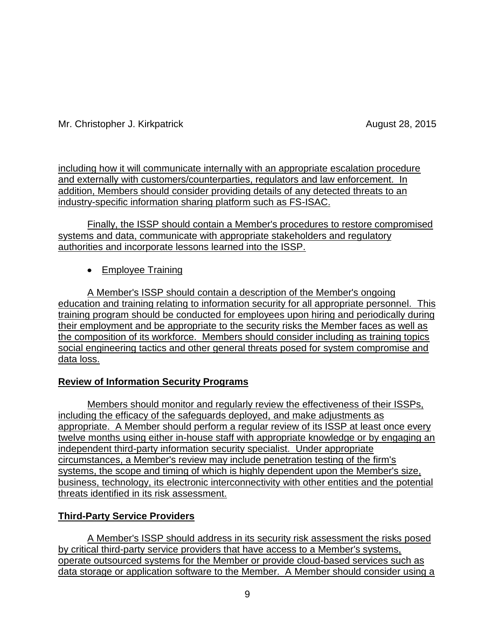including how it will communicate internally with an appropriate escalation procedure and externally with customers/counterparties, regulators and law enforcement. In addition, Members should consider providing details of any detected threats to an industry-specific information sharing platform such as FS-ISAC.

Finally, the ISSP should contain a Member's procedures to restore compromised systems and data, communicate with appropriate stakeholders and regulatory authorities and incorporate lessons learned into the ISSP.

• Employee Training

A Member's ISSP should contain a description of the Member's ongoing education and training relating to information security for all appropriate personnel. This training program should be conducted for employees upon hiring and periodically during their employment and be appropriate to the security risks the Member faces as well as the composition of its workforce. Members should consider including as training topics social engineering tactics and other general threats posed for system compromise and data loss.

# **Review of Information Security Programs**

Members should monitor and regularly review the effectiveness of their ISSPs, including the efficacy of the safeguards deployed, and make adjustments as appropriate. A Member should perform a regular review of its ISSP at least once every twelve months using either in-house staff with appropriate knowledge or by engaging an independent third-party information security specialist. Under appropriate circumstances, a Member's review may include penetration testing of the firm's systems, the scope and timing of which is highly dependent upon the Member's size, business, technology, its electronic interconnectivity with other entities and the potential threats identified in its risk assessment.

# **Third-Party Service Providers**

A Member's ISSP should address in its security risk assessment the risks posed by critical third-party service providers that have access to a Member's systems, operate outsourced systems for the Member or provide cloud-based services such as data storage or application software to the Member. A Member should consider using a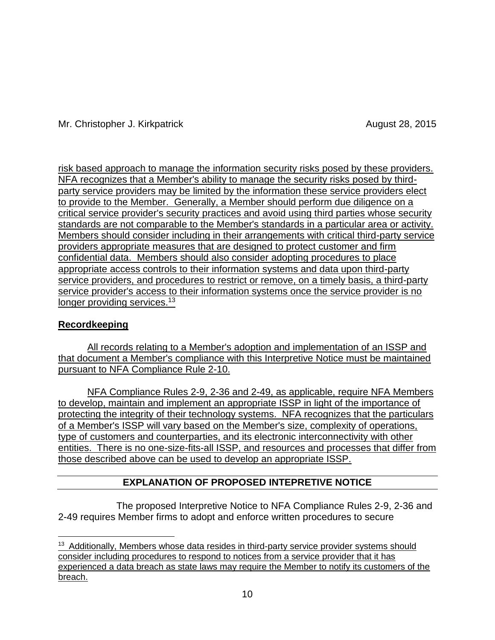risk based approach to manage the information security risks posed by these providers. NFA recognizes that a Member's ability to manage the security risks posed by thirdparty service providers may be limited by the information these service providers elect to provide to the Member. Generally, a Member should perform due diligence on a critical service provider's security practices and avoid using third parties whose security standards are not comparable to the Member's standards in a particular area or activity. Members should consider including in their arrangements with critical third-party service providers appropriate measures that are designed to protect customer and firm confidential data. Members should also consider adopting procedures to place appropriate access controls to their information systems and data upon third-party service providers, and procedures to restrict or remove, on a timely basis, a third-party service provider's access to their information systems once the service provider is no longer providing services.<sup>13</sup>

# **Recordkeeping**

All records relating to a Member's adoption and implementation of an ISSP and that document a Member's compliance with this Interpretive Notice must be maintained pursuant to NFA Compliance Rule 2-10.

NFA Compliance Rules 2-9, 2-36 and 2-49, as applicable, require NFA Members to develop, maintain and implement an appropriate ISSP in light of the importance of protecting the integrity of their technology systems. NFA recognizes that the particulars of a Member's ISSP will vary based on the Member's size, complexity of operations, type of customers and counterparties, and its electronic interconnectivity with other entities. There is no one-size-fits-all ISSP, and resources and processes that differ from those described above can be used to develop an appropriate ISSP.

# **EXPLANATION OF PROPOSED INTEPRETIVE NOTICE**

The proposed Interpretive Notice to NFA Compliance Rules 2-9, 2-36 and 2-49 requires Member firms to adopt and enforce written procedures to secure

 $\overline{a}$ <sup>13</sup> Additionally, Members whose data resides in third-party service provider systems should consider including procedures to respond to notices from a service provider that it has experienced a data breach as state laws may require the Member to notify its customers of the breach.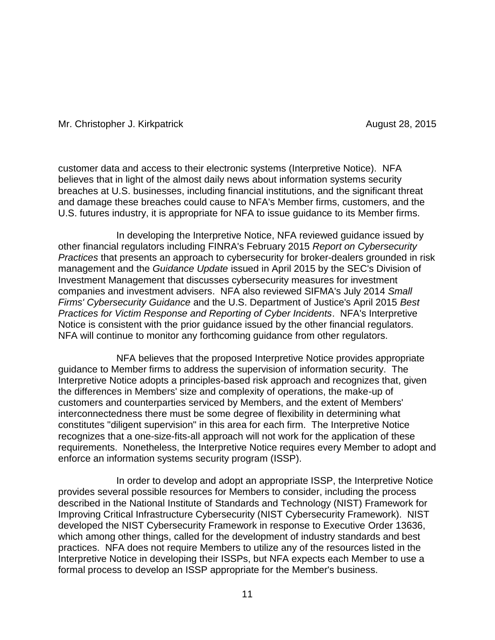customer data and access to their electronic systems (Interpretive Notice). NFA believes that in light of the almost daily news about information systems security breaches at U.S. businesses, including financial institutions, and the significant threat and damage these breaches could cause to NFA's Member firms, customers, and the U.S. futures industry, it is appropriate for NFA to issue guidance to its Member firms.

In developing the Interpretive Notice, NFA reviewed guidance issued by other financial regulators including FINRA's February 2015 *Report on Cybersecurity Practices* that presents an approach to cybersecurity for broker-dealers grounded in risk management and the *Guidance Update* issued in April 2015 by the SEC's Division of Investment Management that discusses cybersecurity measures for investment companies and investment advisers. NFA also reviewed SIFMA's July 2014 *Small Firms' Cybersecurity Guidance* and the U.S. Department of Justice's April 2015 *Best Practices for Victim Response and Reporting of Cyber Incidents*. NFA's Interpretive Notice is consistent with the prior guidance issued by the other financial regulators. NFA will continue to monitor any forthcoming guidance from other regulators.

NFA believes that the proposed Interpretive Notice provides appropriate guidance to Member firms to address the supervision of information security. The Interpretive Notice adopts a principles-based risk approach and recognizes that, given the differences in Members' size and complexity of operations, the make-up of customers and counterparties serviced by Members, and the extent of Members' interconnectedness there must be some degree of flexibility in determining what constitutes "diligent supervision" in this area for each firm. The Interpretive Notice recognizes that a one-size-fits-all approach will not work for the application of these requirements. Nonetheless, the Interpretive Notice requires every Member to adopt and enforce an information systems security program (ISSP).

In order to develop and adopt an appropriate ISSP, the Interpretive Notice provides several possible resources for Members to consider, including the process described in the National Institute of Standards and Technology (NIST) Framework for Improving Critical Infrastructure Cybersecurity (NIST Cybersecurity Framework). NIST developed the NIST Cybersecurity Framework in response to Executive Order 13636, which among other things, called for the development of industry standards and best practices. NFA does not require Members to utilize any of the resources listed in the Interpretive Notice in developing their ISSPs, but NFA expects each Member to use a formal process to develop an ISSP appropriate for the Member's business.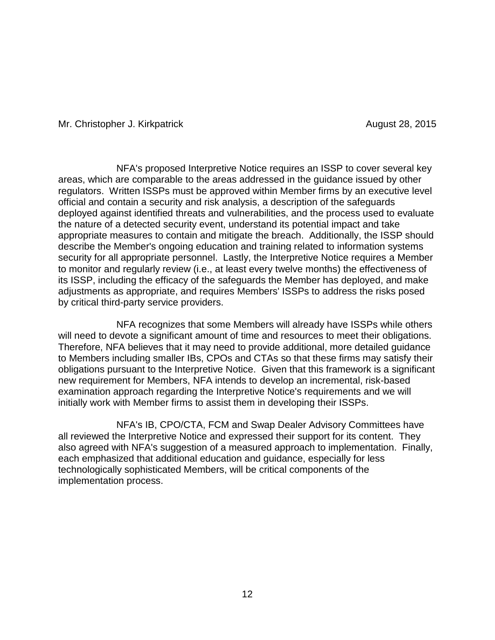NFA's proposed Interpretive Notice requires an ISSP to cover several key areas, which are comparable to the areas addressed in the guidance issued by other regulators. Written ISSPs must be approved within Member firms by an executive level official and contain a security and risk analysis, a description of the safeguards deployed against identified threats and vulnerabilities, and the process used to evaluate the nature of a detected security event, understand its potential impact and take appropriate measures to contain and mitigate the breach. Additionally, the ISSP should describe the Member's ongoing education and training related to information systems security for all appropriate personnel. Lastly, the Interpretive Notice requires a Member to monitor and regularly review (i.e., at least every twelve months) the effectiveness of its ISSP, including the efficacy of the safeguards the Member has deployed, and make adjustments as appropriate, and requires Members' ISSPs to address the risks posed by critical third-party service providers.

NFA recognizes that some Members will already have ISSPs while others will need to devote a significant amount of time and resources to meet their obligations. Therefore, NFA believes that it may need to provide additional, more detailed guidance to Members including smaller IBs, CPOs and CTAs so that these firms may satisfy their obligations pursuant to the Interpretive Notice. Given that this framework is a significant new requirement for Members, NFA intends to develop an incremental, risk-based examination approach regarding the Interpretive Notice's requirements and we will initially work with Member firms to assist them in developing their ISSPs.

NFA's IB, CPO/CTA, FCM and Swap Dealer Advisory Committees have all reviewed the Interpretive Notice and expressed their support for its content. They also agreed with NFA's suggestion of a measured approach to implementation. Finally, each emphasized that additional education and guidance, especially for less technologically sophisticated Members, will be critical components of the implementation process.